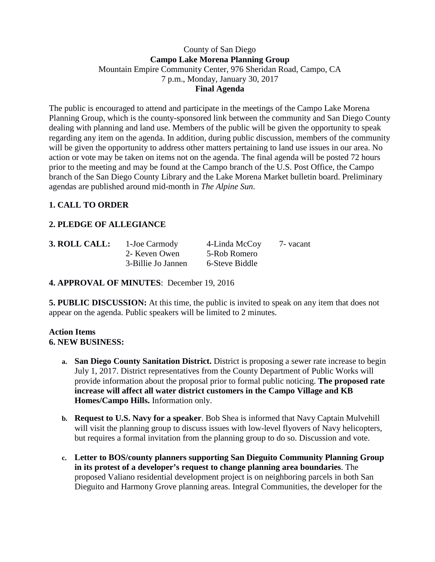#### County of San Diego **Campo Lake Morena Planning Group** Mountain Empire Community Center, 976 Sheridan Road, Campo, CA 7 p.m., Monday, January 30, 2017 **Final Agenda**

The public is encouraged to attend and participate in the meetings of the Campo Lake Morena Planning Group, which is the county-sponsored link between the community and San Diego County dealing with planning and land use. Members of the public will be given the opportunity to speak regarding any item on the agenda. In addition, during public discussion, members of the community will be given the opportunity to address other matters pertaining to land use issues in our area. No action or vote may be taken on items not on the agenda. The final agenda will be posted 72 hours prior to the meeting and may be found at the Campo branch of the U.S. Post Office, the Campo branch of the San Diego County Library and the Lake Morena Market bulletin board. Preliminary agendas are published around mid-month in *The Alpine Sun*.

# **1. CALL TO ORDER**

# **2. PLEDGE OF ALLEGIANCE**

| 3. ROLL CALL: | 1-Joe Carmody      | 4-Linda McCoy  | 7 - vacant |
|---------------|--------------------|----------------|------------|
|               | 2- Keven Owen      | 5-Rob Romero   |            |
|               | 3-Billie Jo Jannen | 6-Steve Biddle |            |

## **4. APPROVAL OF MINUTES**: December 19, 2016

**5. PUBLIC DISCUSSION:** At this time, the public is invited to speak on any item that does not appear on the agenda. Public speakers will be limited to 2 minutes.

#### **Action Items 6. NEW BUSINESS:**

- **a. San Diego County Sanitation District.** District is proposing a sewer rate increase to begin July 1, 2017. District representatives from the County Department of Public Works will provide information about the proposal prior to formal public noticing. **The proposed rate increase will affect all water district customers in the Campo Village and KB Homes/Campo Hills.** Information only.
- **b. Request to U.S. Navy for a speaker**. Bob Shea is informed that Navy Captain Mulvehill will visit the planning group to discuss issues with low-level flyovers of Navy helicopters, but requires a formal invitation from the planning group to do so. Discussion and vote.
- **c. Letter to BOS/county planners supporting San Dieguito Community Planning Group in its protest of a developer's request to change planning area boundaries**. The proposed Valiano residential development project is on neighboring parcels in both San Dieguito and Harmony Grove planning areas. Integral Communities, the developer for the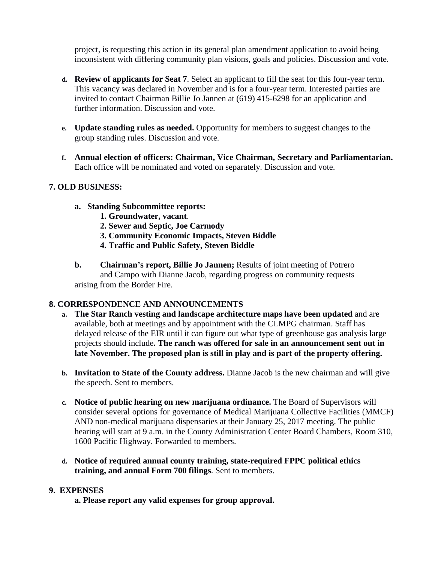project, is requesting this action in its general plan amendment application to avoid being inconsistent with differing community plan visions, goals and policies. Discussion and vote.

- **d. Review of applicants for Seat 7**. Select an applicant to fill the seat for this four-year term. This vacancy was declared in November and is for a four-year term. Interested parties are invited to contact Chairman Billie Jo Jannen at (619) 415-6298 for an application and further information. Discussion and vote.
- **e. Update standing rules as needed.** Opportunity for members to suggest changes to the group standing rules. Discussion and vote.
- **f. Annual election of officers: Chairman, Vice Chairman, Secretary and Parliamentarian.**  Each office will be nominated and voted on separately. Discussion and vote.

#### **7. OLD BUSINESS:**

- **a. Standing Subcommittee reports:**
	- **1. Groundwater, vacant**.
	- **2. Sewer and Septic, Joe Carmody**
	- **3. Community Economic Impacts, Steven Biddle**
	- **4. Traffic and Public Safety, Steven Biddle**
- **b. Chairman's report, Billie Jo Jannen;** Results of joint meeting of Potrero and Campo with Dianne Jacob, regarding progress on community requests arising from the Border Fire.

#### **8. CORRESPONDENCE AND ANNOUNCEMENTS**

- **a. The Star Ranch vesting and landscape architecture maps have been updated** and are available, both at meetings and by appointment with the CLMPG chairman. Staff has delayed release of the EIR until it can figure out what type of greenhouse gas analysis large projects should include**. The ranch was offered for sale in an announcement sent out in late November. The proposed plan is still in play and is part of the property offering.**
- **b. Invitation to State of the County address.** Dianne Jacob is the new chairman and will give the speech. Sent to members.
- **c. Notice of public hearing on new marijuana ordinance.** The Board of Supervisors will consider several options for governance of Medical Marijuana Collective Facilities (MMCF) AND non-medical marijuana dispensaries at their January 25, 2017 meeting. The public hearing will start at 9 a.m. in the County Administration Center Board Chambers, Room 310, 1600 Pacific Highway. Forwarded to members.
- **d. Notice of required annual county training, state-required FPPC political ethics training, and annual Form 700 filings**. Sent to members.

#### **9. EXPENSES**

**a. Please report any valid expenses for group approval.**